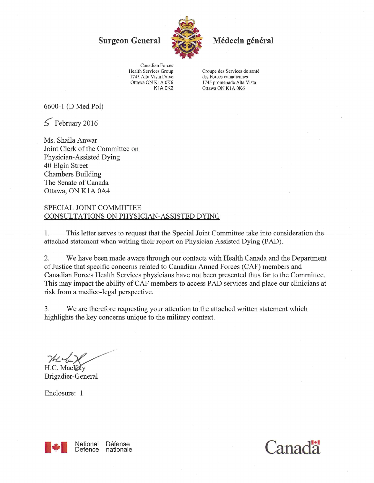**Surgeon General** 



Médecin général

Canadian Forces Health Services Group 1745 Alta Vista Drive Ottawa ON K1A 0K6 **K1A 0K2** 

Groupe des Services de santé des Forces canadiennes 1745 promenade Alta Vista Ottawa ON K1A 0K6

6600-1 (D Med Pol)

 $5$  February 2016

Ms. Shaila Anwar Joint Clerk of the Committee on Physician-Assisted Dying 40 Elgin Street **Chambers Building** The Senate of Canada Ottawa, ON K1A 0A4

## SPECIAL JOINT COMMITTEE CONSULTATIONS ON PHYSICIAN-ASSISTED DYING

 $1.$ This letter serves to request that the Special Joint Committee take into consideration the attached statement when writing their report on Physician Assisted Dying (PAD).

We have been made aware through our contacts with Health Canada and the Department  $2.$ of Justice that specific concerns related to Canadian Armed Forces (CAF) members and Canadian Forces Health Services physicians have not been presented thus far to the Committee. This may impact the ability of CAF members to access PAD services and place our clinicians at risk from a medico-legal perspective.

3. We are therefore requesting your attention to the attached written statement which highlights the key concerns unique to the military context.

H.C. Mackay

Brigadier-General

Enclosure: 1